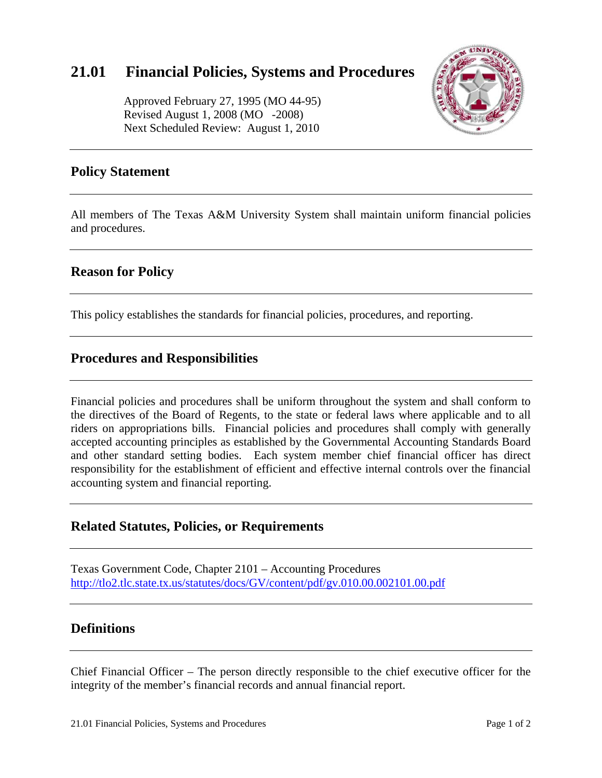# **21.01 Financial Policies, Systems and Procedures**

 Approved February 27, 1995 (MO 44-95) Revised August 1, 2008 (MO -2008) Next Scheduled Review: August 1, 2010



# **Policy Statement**

All members of The Texas A&M University System shall maintain uniform financial policies and procedures.

# **Reason for Policy**

This policy establishes the standards for financial policies, procedures, and reporting.

#### **Procedures and Responsibilities**

Financial policies and procedures shall be uniform throughout the system and shall conform to the directives of the Board of Regents, to the state or federal laws where applicable and to all riders on appropriations bills. Financial policies and procedures shall comply with generally accepted accounting principles as established by the Governmental Accounting Standards Board and other standard setting bodies. Each system member chief financial officer has direct responsibility for the establishment of efficient and effective internal controls over the financial accounting system and financial reporting.

#### **Related Statutes, Policies, or Requirements**

Texas Government Code, Chapter 2101 – Accounting Procedures http://tlo2.tlc.state.tx.us/statutes/docs/GV/content/pdf/gv.010.00.002101.00.pdf

# **Definitions**

Chief Financial Officer – The person directly responsible to the chief executive officer for the integrity of the member's financial records and annual financial report.